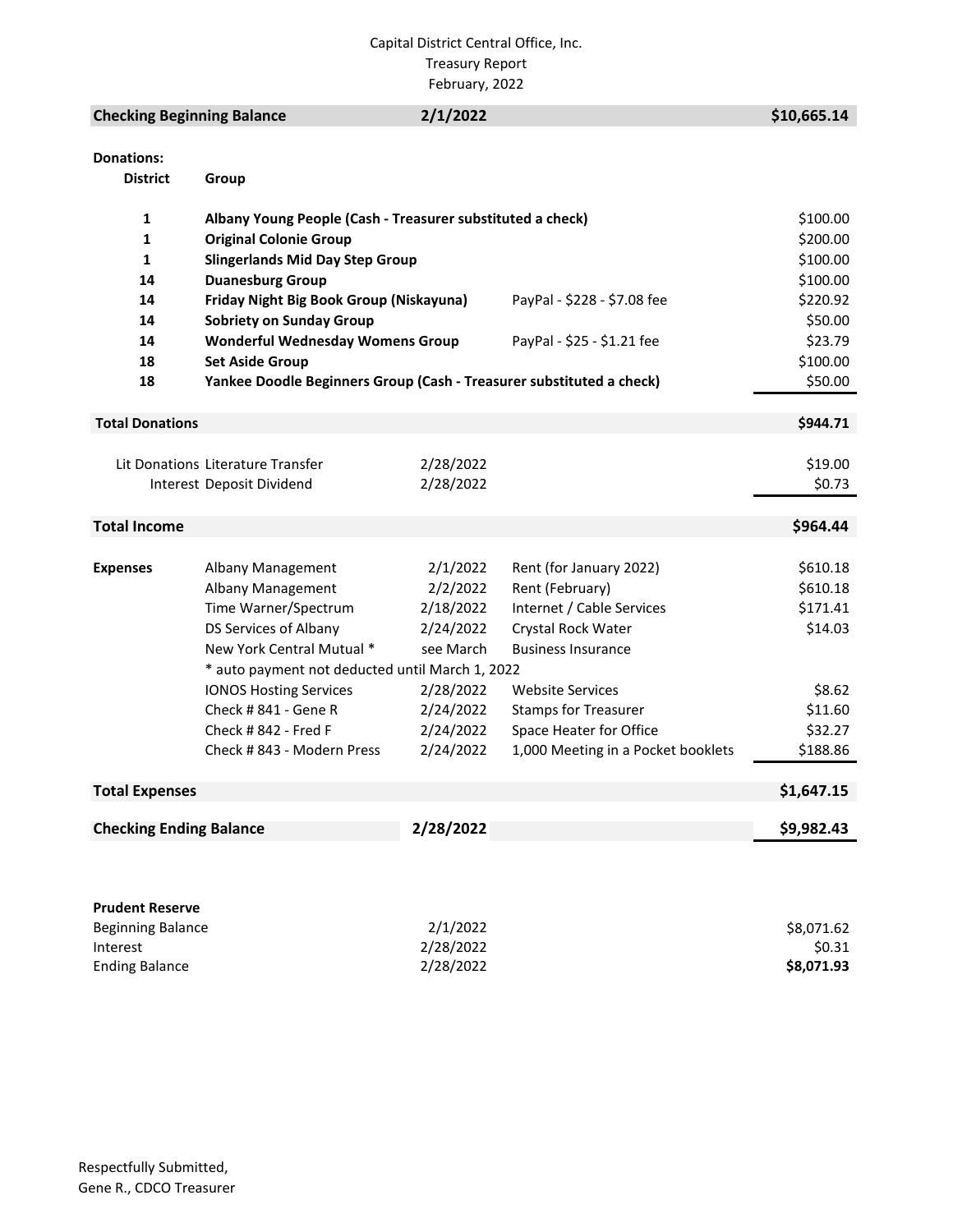### Capital District Central Office, Inc. Treasury Report February, 2022

# **Checking Beginning Balance** 2/1/2022 \$10,665.14

| <b>Donations:</b> |  |
|-------------------|--|
|                   |  |

**District Group**

| 1                                               | Albany Young People (Cash - Treasurer substituted a check)           |           |                                    | \$100.00   |
|-------------------------------------------------|----------------------------------------------------------------------|-----------|------------------------------------|------------|
| $\mathbf{1}$                                    | <b>Original Colonie Group</b>                                        |           |                                    | \$200.00   |
| $\mathbf{1}$                                    | <b>Slingerlands Mid Day Step Group</b>                               |           |                                    | \$100.00   |
| 14                                              | <b>Duanesburg Group</b>                                              |           |                                    | \$100.00   |
| 14                                              | Friday Night Big Book Group (Niskayuna)                              |           | PayPal - \$228 - \$7.08 fee        | \$220.92   |
| 14                                              | <b>Sobriety on Sunday Group</b>                                      |           |                                    | \$50.00    |
| 14                                              | <b>Wonderful Wednesday Womens Group</b>                              |           | PayPal - \$25 - \$1.21 fee         | \$23.79    |
| 18                                              | <b>Set Aside Group</b>                                               |           |                                    | \$100.00   |
| 18                                              | Yankee Doodle Beginners Group (Cash - Treasurer substituted a check) |           |                                    | \$50.00    |
|                                                 |                                                                      |           |                                    |            |
| <b>Total Donations</b>                          |                                                                      |           |                                    | \$944.71   |
|                                                 |                                                                      |           |                                    |            |
|                                                 | Lit Donations Literature Transfer                                    | 2/28/2022 |                                    | \$19.00    |
|                                                 | Interest Deposit Dividend                                            | 2/28/2022 |                                    | \$0.73     |
|                                                 |                                                                      |           |                                    |            |
| <b>Total Income</b>                             |                                                                      |           |                                    | \$964.44   |
|                                                 |                                                                      |           |                                    |            |
| <b>Expenses</b>                                 | Albany Management                                                    | 2/1/2022  | Rent (for January 2022)            | \$610.18   |
|                                                 | Albany Management                                                    | 2/2/2022  | Rent (February)                    | \$610.18   |
|                                                 | Time Warner/Spectrum                                                 | 2/18/2022 | Internet / Cable Services          | \$171.41   |
|                                                 | DS Services of Albany                                                | 2/24/2022 | Crystal Rock Water                 | \$14.03    |
|                                                 | New York Central Mutual *                                            | see March | <b>Business Insurance</b>          |            |
| * auto payment not deducted until March 1, 2022 |                                                                      |           |                                    |            |
|                                                 | <b>IONOS Hosting Services</b>                                        | 2/28/2022 | <b>Website Services</b>            | \$8.62     |
|                                                 | Check #841 - Gene R                                                  | 2/24/2022 | <b>Stamps for Treasurer</b>        | \$11.60    |
|                                                 | Check # 842 - Fred F                                                 | 2/24/2022 | Space Heater for Office            | \$32.27    |
|                                                 | Check #843 - Modern Press                                            | 2/24/2022 | 1,000 Meeting in a Pocket booklets | \$188.86   |
|                                                 |                                                                      |           |                                    |            |
| <b>Total Expenses</b>                           |                                                                      |           |                                    | \$1,647.15 |
| <b>Checking Ending Balance</b>                  |                                                                      | 2/28/2022 |                                    | \$9,982.43 |
|                                                 |                                                                      |           |                                    |            |
|                                                 |                                                                      |           |                                    |            |
|                                                 |                                                                      |           |                                    |            |
| <b>Prudent Reserve</b>                          |                                                                      |           |                                    |            |
| <b>Beginning Balance</b>                        |                                                                      | 2/1/2022  |                                    | \$8,071.62 |
| Interest                                        |                                                                      | 2/28/2022 |                                    | \$0.31     |
| <b>Ending Balance</b>                           |                                                                      | 2/28/2022 |                                    | \$8,071.93 |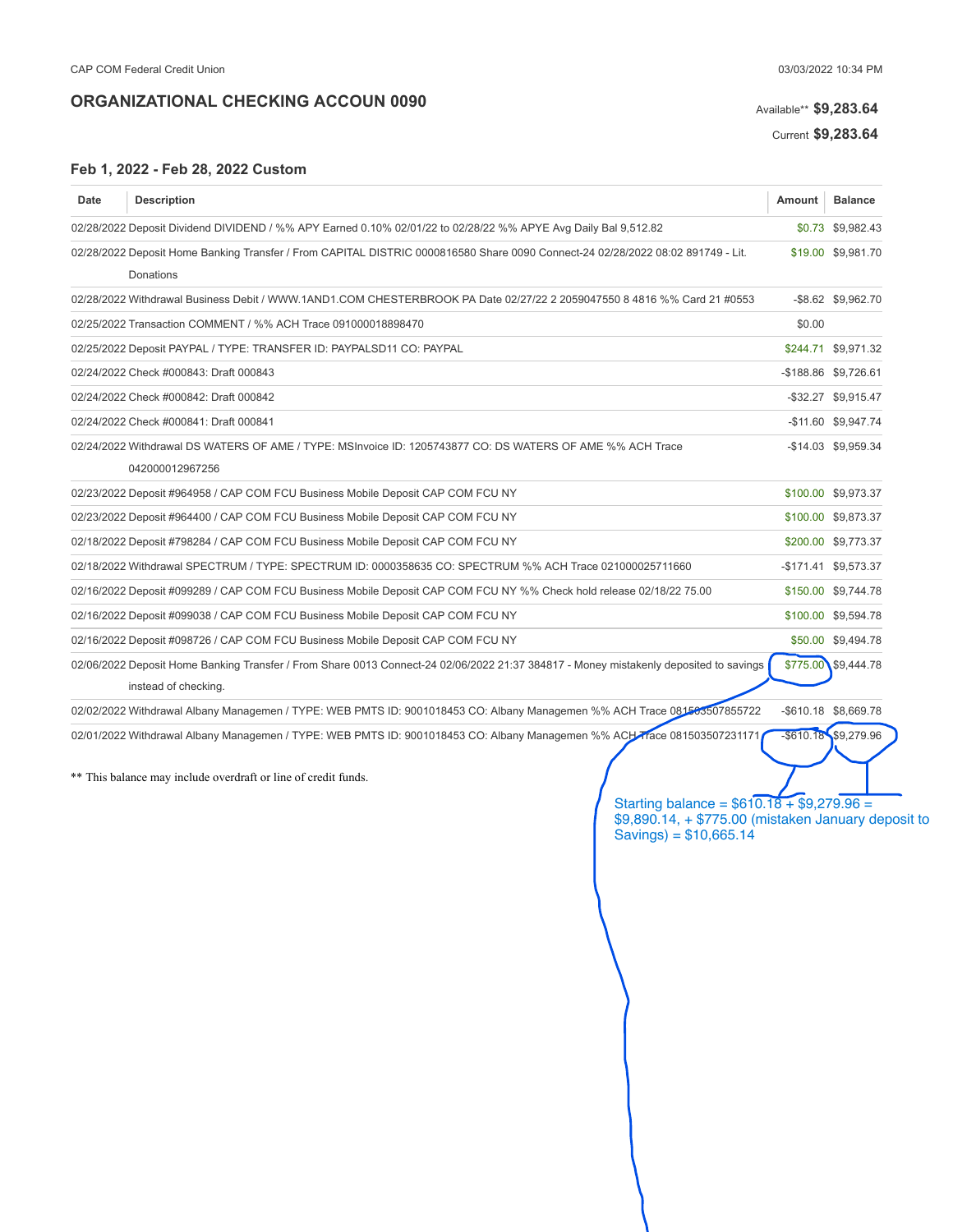# Available\*\* \$9,283.64

Current \$9,283.64

### Feb 1, 2022 - Feb 28, 2022 Custom

| Date | <b>Description</b>                                                                                                                                                                             | Amount       | <b>Balance</b>       |
|------|------------------------------------------------------------------------------------------------------------------------------------------------------------------------------------------------|--------------|----------------------|
|      | 02/28/2022 Deposit Dividend DIVIDEND / %% APY Earned 0.10% 02/01/22 to 02/28/22 %% APYE Avg Daily Bal 9,512.82                                                                                 |              | \$0.73 \$9,982.43    |
|      | 02/28/2022 Deposit Home Banking Transfer / From CAPITAL DISTRIC 0000816580 Share 0090 Connect-24 02/28/2022 08:02 891749 - Lit.                                                                |              | \$19.00 \$9,981.70   |
|      | Donations                                                                                                                                                                                      |              |                      |
|      | 02/28/2022 Withdrawal Business Debit / WWW.1AND1.COM CHESTERBROOK PA Date 02/27/22 2 2059047550 8 4816 %% Card 21 #0553                                                                        |              | -\$8.62 \$9,962.70   |
|      | 02/25/2022 Transaction COMMENT / %% ACH Trace 091000018898470                                                                                                                                  | \$0.00       |                      |
|      | 02/25/2022 Deposit PAYPAL / TYPE: TRANSFER ID: PAYPALSD11 CO: PAYPAL                                                                                                                           |              | \$244.71 \$9,971.32  |
|      | 02/24/2022 Check #000843: Draft 000843                                                                                                                                                         |              | -\$188.86 \$9,726.61 |
|      | 02/24/2022 Check #000842: Draft 000842                                                                                                                                                         |              | -\$32.27 \$9,915.47  |
|      | 02/24/2022 Check #000841: Draft 000841                                                                                                                                                         |              | -\$11.60 \$9,947.74  |
|      | 02/24/2022 Withdrawal DS WATERS OF AME / TYPE: MSInvoice ID: 1205743877 CO: DS WATERS OF AME %% ACH Trace                                                                                      |              | -\$14.03 \$9,959.34  |
|      | 042000012967256                                                                                                                                                                                |              |                      |
|      | 02/23/2022 Deposit #964958 / CAP COM FCU Business Mobile Deposit CAP COM FCU NY                                                                                                                |              | \$100.00 \$9,973.37  |
|      | 02/23/2022 Deposit #964400 / CAP COM FCU Business Mobile Deposit CAP COM FCU NY                                                                                                                |              | \$100.00 \$9,873.37  |
|      | 02/18/2022 Deposit #798284 / CAP COM FCU Business Mobile Deposit CAP COM FCU NY                                                                                                                |              | \$200.00 \$9,773.37  |
|      | 02/18/2022 Withdrawal SPECTRUM / TYPE: SPECTRUM ID: 0000358635 CO: SPECTRUM %% ACH Trace 021000025711660                                                                                       |              | -\$171.41 \$9,573.37 |
|      | 02/16/2022 Deposit #099289 / CAP COM FCU Business Mobile Deposit CAP COM FCU NY %% Check hold release 02/18/22 75.00                                                                           |              | \$150.00 \$9,744.78  |
|      | 02/16/2022 Deposit #099038 / CAP COM FCU Business Mobile Deposit CAP COM FCU NY                                                                                                                |              | \$100.00 \$9,594.78  |
|      | 02/16/2022 Deposit #098726 / CAP COM FCU Business Mobile Deposit CAP COM FCU NY                                                                                                                |              | \$50.00 \$9,494.78   |
|      | 02/06/2022 Deposit Home Banking Transfer / From Share 0013 Connect-24 02/06/2022 21:37 384817 - Money mistakenly deposited to savings<br>instead of checking.                                  | \$775.00     | \$9,444.78           |
|      | 02/02/2022 Withdrawal Albany Managemen / TYPE: WEB PMTS ID: 9001018453 CO: Albany Managemen %% ACH Trace 081503507855722                                                                       |              | -\$610.18 \$8,669.78 |
|      | 02/01/2022 Withdrawal Albany Managemen / TYPE: WEB PMTS ID: 9001018453 CO: Albany Managemen %% ACH Trace 081503507231171                                                                       | $-$ \$610.18 | \$9,279.96           |
|      | ** This balance may include overdraft or line of credit funds.<br>Starting balance = $$610.18 + $9,279.96 =$<br>\$9,890.14, + \$775.00 (mistaken January deposit to<br>Savings) = $$10,665.14$ |              |                      |